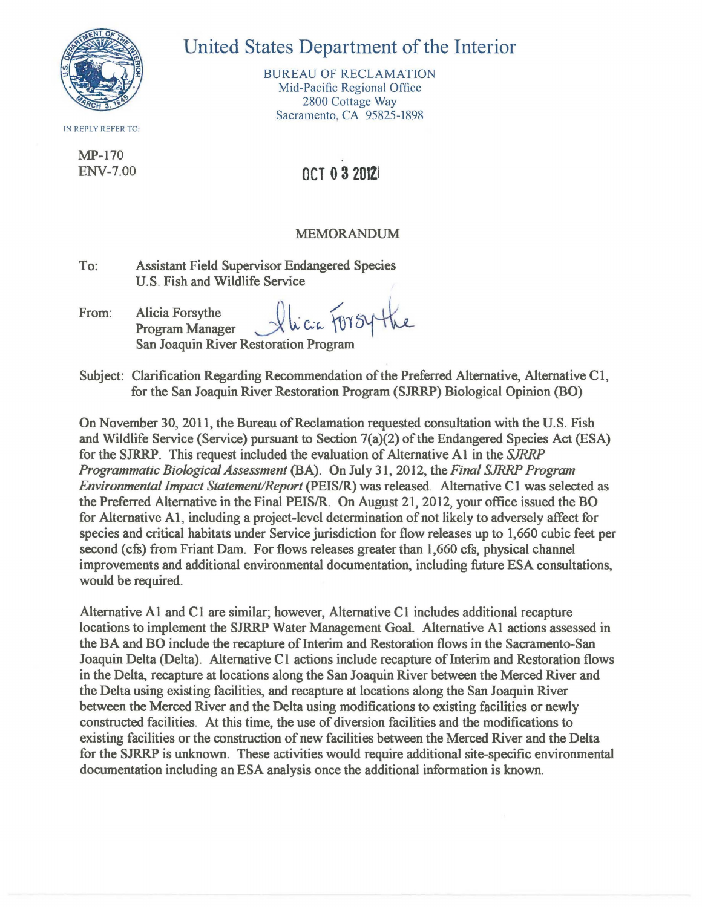

IN REPLY REFER TO:

MP-I70

## United States Department of the Interior

BUREAU OF RECLAMATION Mid-Pacific Regional Office 2800 Cottage Way Sacramento, CA 95825-1898

## ENV-7.00 0CT 0 3 2012

## MEMORANDUM

To: Assistant Field Supervisor Endangered Species U.S. Fish and Wildlife Service

From: Alicia Forsythe  $\mathcal{U}_{\alpha\alpha}$  For  $\mathcal{U}_{\alpha\alpha}$  I  $\mathcal{U}_{\alpha\alpha}$ Program Manager San Joaquin River Restoration Program

Subject: Clarification Regarding Recommendation of the Preferred Alternative, Alternative CI, for the San Joaquin River Restoration Program (SJRRP) Biological Opinion (BO)

On November 30, 20II, the Bureau of Reclamation requested consultation with the U.S. Fish and Wildlife Service (Service) pursuant to Section 7(a)(2) of the Endangered Species Act (ESA) for the SJRRP. This request included the evaluation of Alternative AI in the SJRRP *Programmatic Biological Assessment* (BA). On July 3I, 20I2, the *Final* SJRRP *Program Environmental Impact Statement/Report* (PEIS/R) was released. Alternative CI was selected as the Preferred Alternative in the Final PEIS/R. On August 2I, 20I2, your office issued the BO for Alternative AI, including a project-level determination of not likely to adversely affect for species and critical habitats under Service jurisdiction for flow releases up to I,660 cubic feet per second (cfs) from Friant Dam. For flows releases greater than I,660 cfs, physical channel improvements and additional environmental documentation, including future ESA consultations, would be required.

Alternative A1 and C1 are similar; however, Alternative C1 includes additional recapture locations to implement the SJRRP Water Management Goal. Alternative AI actions assessed in the BA and BO include the recapture of Interim and Restoration flows in the Sacramento-San Joaquin Delta (Delta). Alternative C1 actions include recapture of Interim and Restoration flows in the Delta, recapture at locations along the San Joaquin River between the Merced River and the Delta using existing facilities, and recapture at locations along the San Joaquin River between the Merced River and the Delta using modifications to existing facilities or newly constructed facilities. At this time, the use of diversion facilities and the modifications to existing facilities or the construction of new facilities between the Merced River and the Delta for the SJRRP is unknown. These activities would require additional site-specific environmental documentation including an ESA analysis once the additional information is known.